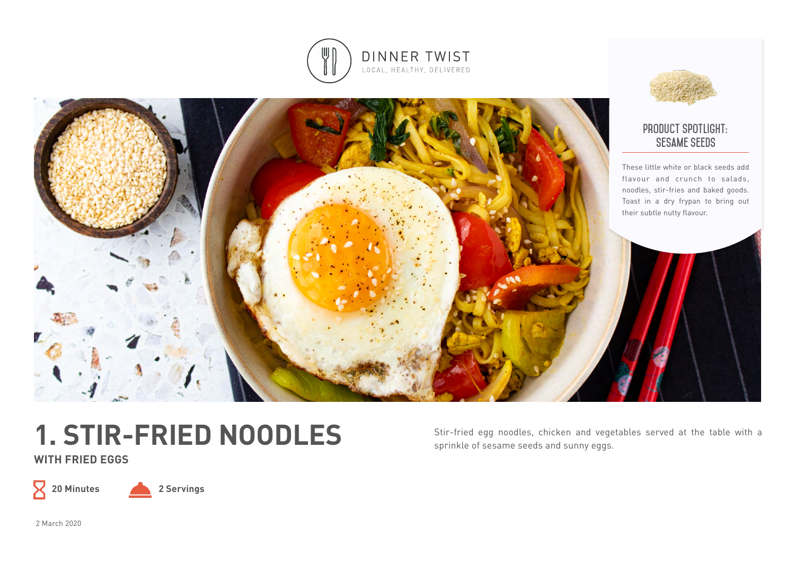



# **1. STIR-FRIED NOODLES**

**WITH FRIED EGGS**

 $\mathsf{Z}$ 

**20 Minutes 2 Servings**

Stir-fried egg noodles, chicken and vegetables served at the table with a sprinkle of sesame seeds and sunny eggs.

2 March 2020